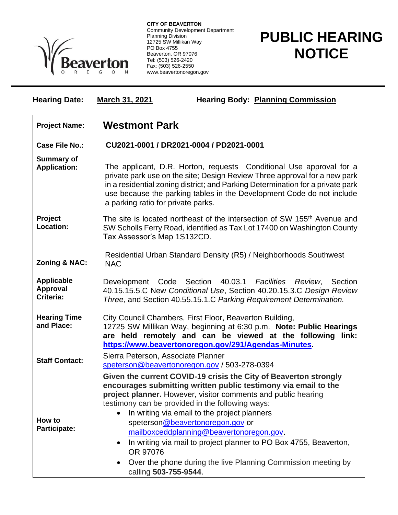

**CITY OF BEAVERTON** Community Development Department Planning Division 12725 SW Millikan Way PO Box 4755 Beaverton, OR 97076 Tel: (503) 526-2420 Fax: (503) 526-2550 www.beavertonoregon.gov

## **PUBLIC HEARING NOTICE**

| <b>Hearing Date:</b>                              | <b>March 31, 2021</b>                                                                                                                                                                                                                                                                                                                             | <b>Hearing Body: Planning Commission</b>                                                                                                                                                                                                                                                                                                                                                                                                                                                                                       |
|---------------------------------------------------|---------------------------------------------------------------------------------------------------------------------------------------------------------------------------------------------------------------------------------------------------------------------------------------------------------------------------------------------------|--------------------------------------------------------------------------------------------------------------------------------------------------------------------------------------------------------------------------------------------------------------------------------------------------------------------------------------------------------------------------------------------------------------------------------------------------------------------------------------------------------------------------------|
| <b>Project Name:</b>                              | <b>Westmont Park</b>                                                                                                                                                                                                                                                                                                                              |                                                                                                                                                                                                                                                                                                                                                                                                                                                                                                                                |
| <b>Case File No.:</b>                             | CU2021-0001 / DR2021-0004 / PD2021-0001                                                                                                                                                                                                                                                                                                           |                                                                                                                                                                                                                                                                                                                                                                                                                                                                                                                                |
| <b>Summary of</b><br><b>Application:</b>          | The applicant, D.R. Horton, requests Conditional Use approval for a<br>private park use on the site; Design Review Three approval for a new park<br>in a residential zoning district; and Parking Determination for a private park<br>use because the parking tables in the Development Code do not include<br>a parking ratio for private parks. |                                                                                                                                                                                                                                                                                                                                                                                                                                                                                                                                |
| Project<br>Location:                              | The site is located northeast of the intersection of SW 155 <sup>th</sup> Avenue and<br>SW Scholls Ferry Road, identified as Tax Lot 17400 on Washington County<br>Tax Assessor's Map 1S132CD.                                                                                                                                                    |                                                                                                                                                                                                                                                                                                                                                                                                                                                                                                                                |
| <b>Zoning &amp; NAC:</b>                          | <b>NAC</b>                                                                                                                                                                                                                                                                                                                                        | Residential Urban Standard Density (R5) / Neighborhoods Southwest                                                                                                                                                                                                                                                                                                                                                                                                                                                              |
| <b>Applicable</b><br><b>Approval</b><br>Criteria: | Development Code Section 40.03.1 Facilities Review,<br>Section<br>40.15.15.5.C New Conditional Use, Section 40.20.15.3.C Design Review<br>Three, and Section 40.55.15.1.C Parking Requirement Determination.                                                                                                                                      |                                                                                                                                                                                                                                                                                                                                                                                                                                                                                                                                |
| <b>Hearing Time</b><br>and Place:                 | City Council Chambers, First Floor, Beaverton Building,<br>12725 SW Millikan Way, beginning at 6:30 p.m. Note: Public Hearings<br>are held remotely and can be viewed at the following<br>link:<br>https://www.beavertonoregon.gov/291/Agendas-Minutes                                                                                            |                                                                                                                                                                                                                                                                                                                                                                                                                                                                                                                                |
| <b>Staff Contact:</b>                             | Sierra Peterson, Associate Planner                                                                                                                                                                                                                                                                                                                | speterson@beavertonoregon.gov / 503-278-0394                                                                                                                                                                                                                                                                                                                                                                                                                                                                                   |
| How to<br>Participate:                            | $\bullet$<br>OR 97076                                                                                                                                                                                                                                                                                                                             | Given the current COVID-19 crisis the City of Beaverton strongly<br>encourages submitting written public testimony via email to the<br>project planner. However, visitor comments and public hearing<br>testimony can be provided in the following ways:<br>In writing via email to the project planners<br>speterson@beavertonoregon.gov or<br>mailboxceddplanning@beavertonoregon.gov.<br>In writing via mail to project planner to PO Box 4755, Beaverton,<br>Over the phone during the live Planning Commission meeting by |
|                                                   | $\bullet$<br>calling 503-755-9544.                                                                                                                                                                                                                                                                                                                |                                                                                                                                                                                                                                                                                                                                                                                                                                                                                                                                |